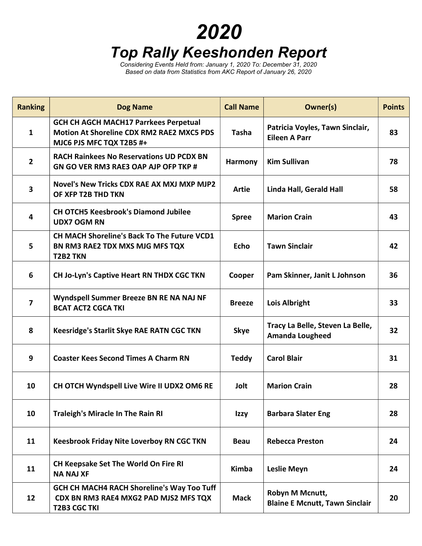## 2020 Top Rally Keeshonden Report

Considering Events Held from: January 1, 2020 To: December 31, 2020 Based on data from Statistics from AKC Report of January 26, 2020

| <b>Ranking</b>          | <b>Dog Name</b>                                                                                                              | <b>Call Name</b> | Owner(s)                                                   | <b>Points</b> |
|-------------------------|------------------------------------------------------------------------------------------------------------------------------|------------------|------------------------------------------------------------|---------------|
| $\mathbf{1}$            | <b>GCH CH AGCH MACH17 Parrkees Perpetual</b><br><b>Motion At Shoreline CDX RM2 RAE2 MXC5 PDS</b><br>MJC6 PJS MFC TQX T2B5 #+ | <b>Tasha</b>     | Patricia Voyles, Tawn Sinclair,<br><b>Eileen A Parr</b>    | 83            |
| $\overline{2}$          | <b>RACH Rainkees No Reservations UD PCDX BN</b><br>GN GO VER RM3 RAE3 OAP AJP OFP TKP #                                      | Harmony          | <b>Kim Sullivan</b>                                        | 78            |
| $\overline{\mathbf{3}}$ | Novel's New Tricks CDX RAE AX MXJ MXP MJP2<br>OF XFP T2B THD TKN                                                             | Artie            | Linda Hall, Gerald Hall                                    | 58            |
| 4                       | <b>CH OTCH5 Keesbrook's Diamond Jubilee</b><br><b>UDX7 OGM RN</b>                                                            | <b>Spree</b>     | <b>Marion Crain</b>                                        | 43            |
| 5                       | CH MACH Shoreline's Back To The Future VCD1<br>BN RM3 RAE2 TDX MXS MJG MFS TQX<br><b>T2B2 TKN</b>                            | Echo             | <b>Tawn Sinclair</b>                                       | 42            |
| 6                       | <b>CH Jo-Lyn's Captive Heart RN THDX CGC TKN</b>                                                                             | Cooper           | Pam Skinner, Janit L Johnson                               | 36            |
| $\overline{\mathbf{z}}$ | Wyndspell Summer Breeze BN RE NA NAJ NF<br><b>BCAT ACT2 CGCA TKI</b>                                                         | <b>Breeze</b>    | <b>Lois Albright</b>                                       | 33            |
| 8                       | Keesridge's Starlit Skye RAE RATN CGC TKN                                                                                    | <b>Skye</b>      | Tracy La Belle, Steven La Belle,<br><b>Amanda Lougheed</b> | 32            |
| 9                       | <b>Coaster Kees Second Times A Charm RN</b>                                                                                  | <b>Teddy</b>     | <b>Carol Blair</b>                                         | 31            |
| 10                      | CH OTCH Wyndspell Live Wire II UDX2 OM6 RE                                                                                   | Jolt             | <b>Marion Crain</b>                                        | 28            |
| 10                      | <b>Traleigh's Miracle In The Rain RI</b>                                                                                     | Izzy             | <b>Barbara Slater Eng</b>                                  | 28            |
| 11                      | <b>Keesbrook Friday Nite Loverboy RN CGC TKN</b>                                                                             | <b>Beau</b>      | <b>Rebecca Preston</b>                                     | 24            |
| 11                      | CH Keepsake Set The World On Fire RI<br><b>NA NAJ XF</b>                                                                     | Kimba            | <b>Leslie Meyn</b>                                         | 24            |
| 12                      | GCH CH MACH4 RACH Shoreline's Way Too Tuff<br>CDX BN RM3 RAE4 MXG2 PAD MJS2 MFS TQX<br><b>T2B3 CGC TKI</b>                   | <b>Mack</b>      | Robyn M Mcnutt,<br><b>Blaine E Mcnutt, Tawn Sinclair</b>   | 20            |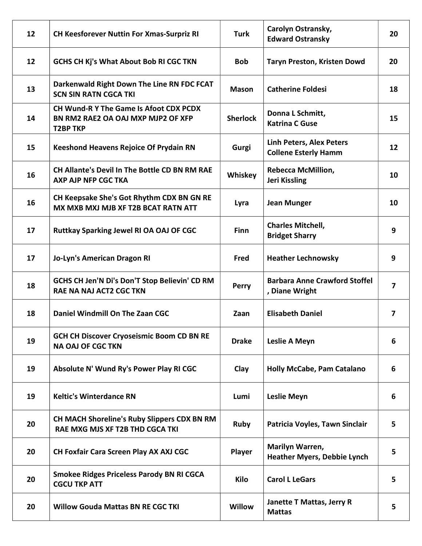| $12 \overline{ }$ | <b>CH Keesforever Nuttin For Xmas-Surpriz RI</b>                                                       | <b>Turk</b>     | Carolyn Ostransky,<br><b>Edward Ostransky</b>                  | 20                      |
|-------------------|--------------------------------------------------------------------------------------------------------|-----------------|----------------------------------------------------------------|-------------------------|
| 12                | <b>GCHS CH Kj's What About Bob RI CGC TKN</b>                                                          | <b>Bob</b>      | <b>Taryn Preston, Kristen Dowd</b>                             | 20                      |
| 13                | Darkenwald Right Down The Line RN FDC FCAT<br><b>SCN SIN RATN CGCA TKI</b>                             | <b>Mason</b>    | <b>Catherine Foldesi</b>                                       | 18                      |
| 14                | <b>CH Wund-R Y The Game Is Afoot CDX PCDX</b><br>BN RM2 RAE2 OA OAJ MXP MJP2 OF XFP<br><b>T2BP TKP</b> | <b>Sherlock</b> | Donna L Schmitt,<br><b>Katrina C Guse</b>                      | 15                      |
| 15                | <b>Keeshond Heavens Rejoice Of Prydain RN</b>                                                          | Gurgi           | <b>Linh Peters, Alex Peters</b><br><b>Collene Esterly Hamm</b> | 12                      |
| 16                | <b>CH Allante's Devil In The Bottle CD BN RM RAE</b><br>AXP AJP NFP CGC TKA                            | Whiskey         | <b>Rebecca McMillion,</b><br><b>Jeri Kissling</b>              | 10                      |
| 16                | CH Keepsake She's Got Rhythm CDX BN GN RE<br>MX MXB MXJ MJB XF T2B BCAT RATN ATT                       | Lyra            | <b>Jean Munger</b>                                             | 10                      |
| 17                | Ruttkay Sparking Jewel RI OA OAJ OF CGC                                                                | <b>Finn</b>     | <b>Charles Mitchell,</b><br><b>Bridget Sharry</b>              | 9                       |
| 17                | Jo-Lyn's American Dragon RI                                                                            | Fred            | <b>Heather Lechnowsky</b>                                      | 9                       |
| 18                | GCHS CH Jen'N Di's Don'T Stop Believin' CD RM<br><b>RAE NA NAJ ACT2 CGC TKN</b>                        | Perry           | <b>Barbara Anne Crawford Stoffel</b><br>, Diane Wright         | $\overline{\mathbf{z}}$ |
| 18                | Daniel Windmill On The Zaan CGC                                                                        | Zaan            | <b>Elisabeth Daniel</b>                                        | 7                       |
| 19                | <b>GCH CH Discover Cryoseismic Boom CD BN RE</b><br><b>NA OAJ OF CGC TKN</b>                           | <b>Drake</b>    | <b>Leslie A Meyn</b>                                           | 6                       |
| 19                | Absolute N' Wund Ry's Power Play RI CGC                                                                | Clay            | <b>Holly McCabe, Pam Catalano</b>                              | 6                       |
| 19                | <b>Keltic's Winterdance RN</b>                                                                         | Lumi            | <b>Leslie Meyn</b>                                             | 6                       |
| 20                | CH MACH Shoreline's Ruby Slippers CDX BN RM<br>RAE MXG MJS XF T2B THD CGCA TKI                         | Ruby            | Patricia Voyles, Tawn Sinclair                                 | 5                       |
| 20                | CH Foxfair Cara Screen Play AX AXJ CGC                                                                 | Player          | Marilyn Warren,<br><b>Heather Myers, Debbie Lynch</b>          | 5                       |
| 20                | <b>Smokee Ridges Priceless Parody BN RI CGCA</b><br><b>CGCU TKP ATT</b>                                | Kilo            | <b>Carol L LeGars</b>                                          | 5                       |
| 20                | <b>Willow Gouda Mattas BN RE CGC TKI</b>                                                               | Willow          | Janette T Mattas, Jerry R<br><b>Mattas</b>                     | 5                       |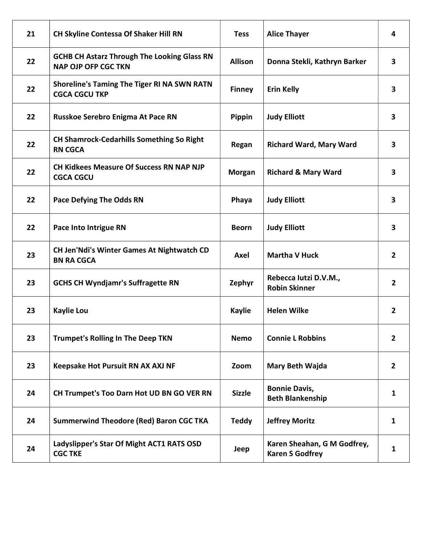| 21 | CH Skyline Contessa Of Shaker Hill RN                                            | <b>Tess</b>    | <b>Alice Thayer</b>                                   | 4                       |
|----|----------------------------------------------------------------------------------|----------------|-------------------------------------------------------|-------------------------|
| 22 | <b>GCHB CH Astarz Through The Looking Glass RN</b><br><b>NAP OJP OFP CGC TKN</b> | <b>Allison</b> | Donna Stekli, Kathryn Barker                          | 3                       |
| 22 | <b>Shoreline's Taming The Tiger RI NA SWN RATN</b><br><b>CGCA CGCU TKP</b>       | <b>Finney</b>  | <b>Erin Kelly</b>                                     | $\overline{\mathbf{3}}$ |
| 22 | Russkoe Serebro Enigma At Pace RN                                                | Pippin         | <b>Judy Elliott</b>                                   | 3                       |
| 22 | <b>CH Shamrock-Cedarhills Something So Right</b><br><b>RN CGCA</b>               | Regan          | <b>Richard Ward, Mary Ward</b>                        | 3                       |
| 22 | <b>CH Kidkees Measure Of Success RN NAP NJP</b><br><b>CGCA CGCU</b>              | <b>Morgan</b>  | <b>Richard &amp; Mary Ward</b>                        | $\overline{\mathbf{3}}$ |
| 22 | <b>Pace Defying The Odds RN</b>                                                  | Phaya          | <b>Judy Elliott</b>                                   | $\overline{\mathbf{3}}$ |
| 22 | Pace Into Intrigue RN                                                            | <b>Beorn</b>   | <b>Judy Elliott</b>                                   | 3                       |
| 23 | <b>CH Jen'Ndi's Winter Games At Nightwatch CD</b><br><b>BN RA CGCA</b>           | Axel           | <b>Martha V Huck</b>                                  | $\overline{2}$          |
| 23 | <b>GCHS CH Wyndjamr's Suffragette RN</b>                                         | Zephyr         | Rebecca lutzi D.V.M.,<br><b>Robin Skinner</b>         | $\overline{2}$          |
| 23 | <b>Kaylie Lou</b>                                                                | <b>Kaylie</b>  | <b>Helen Wilke</b>                                    | $\overline{2}$          |
| 23 | <b>Trumpet's Rolling In The Deep TKN</b>                                         | <b>Nemo</b>    | <b>Connie L Robbins</b>                               | $\overline{2}$          |
| 23 | Keepsake Hot Pursuit RN AX AXJ NF                                                | Zoom           | <b>Mary Beth Wajda</b>                                | $\mathbf{2}$            |
| 24 | CH Trumpet's Too Darn Hot UD BN GO VER RN                                        | <b>Sizzle</b>  | <b>Bonnie Davis,</b><br><b>Beth Blankenship</b>       | $\mathbf{1}$            |
| 24 | <b>Summerwind Theodore (Red) Baron CGC TKA</b>                                   | <b>Teddy</b>   | <b>Jeffrey Moritz</b>                                 | $\mathbf{1}$            |
| 24 | Ladyslipper's Star Of Might ACT1 RATS OSD<br><b>CGC TKE</b>                      | Jeep           | Karen Sheahan, G M Godfrey,<br><b>Karen S Godfrey</b> | $\mathbf{1}$            |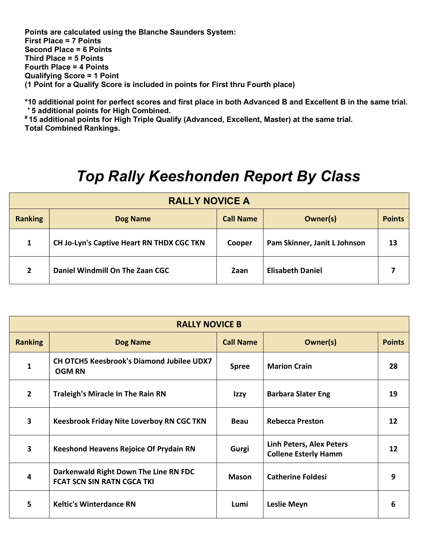Points are calculated using the Blanche Saunders System: First Place = 7 Points Second Place = 6 Points Third Place = 5 Points Fourth Place = 4 Points Qualifying Score = 1 Point (1 Point for a Qualify Score is included in points for First thru Fourth place)

\*10 additional point for perfect scores and first place in both Advanced B and Excellent B in the same trial. <sup>+</sup>5 additional points for High Combined.

# 15 additional points for High Triple Qualify (Advanced, Excellent, Master) at the same trial. Total Combined Rankings.

## Top Rally Keeshonden Report By Class

| <b>RALLY NOVICE A</b> |                                                  |                  |                              |               |
|-----------------------|--------------------------------------------------|------------------|------------------------------|---------------|
| <b>Ranking</b>        | <b>Dog Name</b>                                  | <b>Call Name</b> | Owner(s)                     | <b>Points</b> |
| 1                     | <b>CH Jo-Lyn's Captive Heart RN THDX CGC TKN</b> | Cooper           | Pam Skinner, Janit L Johnson | 13            |
| 2                     | Daniel Windmill On The Zaan CGC                  | Zaan             | <b>Elisabeth Daniel</b>      |               |

| <b>RALLY NOVICE B</b>   |                                                                            |                  |                                                         |               |  |
|-------------------------|----------------------------------------------------------------------------|------------------|---------------------------------------------------------|---------------|--|
| <b>Ranking</b>          | <b>Dog Name</b>                                                            | <b>Call Name</b> | Owner(s)                                                | <b>Points</b> |  |
| 1                       | <b>CH OTCH5 Keesbrook's Diamond Jubilee UDX7</b><br><b>OGM RN</b>          | <b>Spree</b>     | <b>Marion Crain</b>                                     | 28            |  |
| $\overline{2}$          | <b>Traleigh's Miracle In The Rain RN</b>                                   | Izzy             | <b>Barbara Slater Eng</b>                               | 19            |  |
| $\overline{\mathbf{3}}$ | <b>Keesbrook Friday Nite Loverboy RN CGC TKN</b>                           | <b>Beau</b>      | <b>Rebecca Preston</b>                                  | 12            |  |
| $\overline{\mathbf{3}}$ | <b>Keeshond Heavens Rejoice Of Prydain RN</b>                              | Gurgi            | Linh Peters, Alex Peters<br><b>Collene Esterly Hamm</b> | 12            |  |
| 4                       | Darkenwald Right Down The Line RN FDC<br><b>FCAT SCN SIN RATN CGCA TKI</b> | <b>Mason</b>     | <b>Catherine Foldesi</b>                                | 9             |  |
| 5.                      | <b>Keltic's Winterdance RN</b>                                             | Lumi             | <b>Leslie Meyn</b>                                      | 6             |  |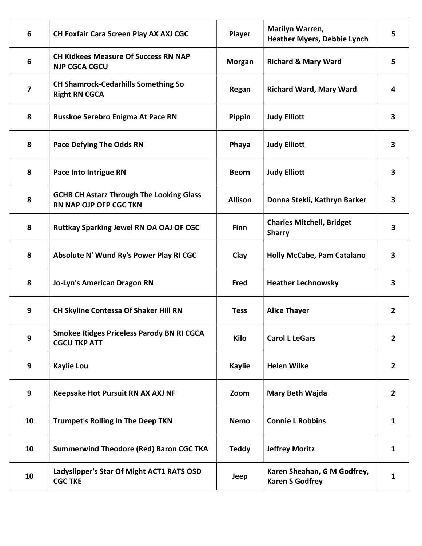| 6  | CH Foxfair Cara Screen Play AX AXJ CGC                                           | Player         | Marilyn Warren,<br><b>Heather Myers, Debbie Lynch</b> | 5              |
|----|----------------------------------------------------------------------------------|----------------|-------------------------------------------------------|----------------|
| 6  | <b>CH Kidkees Measure Of Success RN NAP</b><br><b>NJP CGCA CGCU</b>              | <b>Morgan</b>  | <b>Richard &amp; Mary Ward</b>                        | 5              |
| 7  | <b>CH Shamrock-Cedarhills Something So</b><br><b>Right RN CGCA</b>               | Regan          | <b>Richard Ward, Mary Ward</b>                        | 4              |
| 8  | Russkoe Serebro Enigma At Pace RN                                                | Pippin         | <b>Judy Elliott</b>                                   | 3              |
| 8  | <b>Pace Defying The Odds RN</b>                                                  | Phaya          | <b>Judy Elliott</b>                                   | 3              |
| 8  | Pace Into Intrigue RN                                                            | <b>Beorn</b>   | <b>Judy Elliott</b>                                   | 3              |
| 8  | <b>GCHB CH Astarz Through The Looking Glass</b><br><b>RN NAP OJP OFP CGC TKN</b> | <b>Allison</b> | Donna Stekli, Kathryn Barker                          | 3              |
| 8  | <b>Ruttkay Sparking Jewel RN OA OAJ OF CGC</b>                                   | <b>Finn</b>    | <b>Charles Mitchell, Bridget</b><br><b>Sharry</b>     | 3              |
| 8  | Absolute N' Wund Ry's Power Play RI CGC                                          | Clay           | Holly McCabe, Pam Catalano                            | 3              |
| 8  | <b>Jo-Lyn's American Dragon RN</b>                                               | Fred           | <b>Heather Lechnowsky</b>                             | 3              |
| 9  | <b>CH Skyline Contessa Of Shaker Hill RN</b>                                     | <b>Tess</b>    | <b>Alice Thayer</b>                                   | $\overline{2}$ |
| 9  | <b>Smokee Ridges Priceless Parody BN RI CGCA</b><br><b>CGCU TKP ATT</b>          | Kilo           | <b>Carol L LeGars</b>                                 | $\overline{2}$ |
| 9  | <b>Kaylie Lou</b>                                                                | <b>Kaylie</b>  | <b>Helen Wilke</b>                                    | $\overline{2}$ |
| 9  | Keepsake Hot Pursuit RN AX AXJ NF                                                | Zoom           | Mary Beth Wajda                                       | $\overline{2}$ |
| 10 | <b>Trumpet's Rolling In The Deep TKN</b>                                         | <b>Nemo</b>    | <b>Connie L Robbins</b>                               | $\mathbf{1}$   |
| 10 | <b>Summerwind Theodore (Red) Baron CGC TKA</b>                                   | <b>Teddy</b>   | <b>Jeffrey Moritz</b>                                 | $\mathbf{1}$   |
| 10 | Ladyslipper's Star Of Might ACT1 RATS OSD<br><b>CGC TKE</b>                      | Jeep           | Karen Sheahan, G M Godfrey,<br><b>Karen S Godfrey</b> | $\mathbf{1}$   |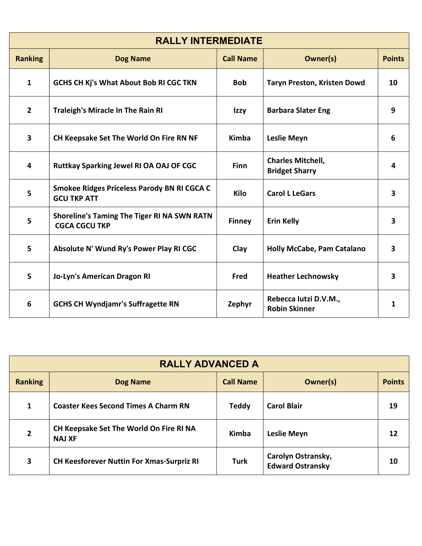| <b>RALLY INTERMEDIATE</b> |                                                                            |                  |                                                   |                         |
|---------------------------|----------------------------------------------------------------------------|------------------|---------------------------------------------------|-------------------------|
| <b>Ranking</b>            | <b>Dog Name</b>                                                            | <b>Call Name</b> | Owner(s)                                          | <b>Points</b>           |
| $\mathbf{1}$              | <b>GCHS CH Kj's What About Bob RI CGC TKN</b>                              | <b>Bob</b>       | <b>Taryn Preston, Kristen Dowd</b>                | 10                      |
| $\overline{2}$            | <b>Traleigh's Miracle In The Rain RI</b>                                   | Izzy             | <b>Barbara Slater Eng</b>                         | 9                       |
| $\overline{\mathbf{3}}$   | CH Keepsake Set The World On Fire RN NF                                    | <b>Kimba</b>     | <b>Leslie Meyn</b>                                | 6                       |
| 4                         | Ruttkay Sparking Jewel RI OA OAJ OF CGC                                    | <b>Finn</b>      | <b>Charles Mitchell,</b><br><b>Bridget Sharry</b> | 4                       |
| 5                         | Smokee Ridges Priceless Parody BN RI CGCA C<br><b>GCU TKP ATT</b>          | <b>Kilo</b>      | <b>Carol L LeGars</b>                             | $\overline{\mathbf{3}}$ |
| 5                         | <b>Shoreline's Taming The Tiger RI NA SWN RATN</b><br><b>CGCA CGCU TKP</b> | <b>Finney</b>    | <b>Erin Kelly</b>                                 | 3                       |
| 5                         | Absolute N' Wund Ry's Power Play RI CGC                                    | Clay             | <b>Holly McCabe, Pam Catalano</b>                 | $\overline{\mathbf{3}}$ |
| 5                         | Jo-Lyn's American Dragon RI                                                | Fred             | <b>Heather Lechnowsky</b>                         | 3                       |
| 6                         | <b>GCHS CH Wyndjamr's Suffragette RN</b>                                   | Zephyr           | Rebecca Iutzi D.V.M.,<br><b>Robin Skinner</b>     | 1                       |

| <b>RALLY ADVANCED A</b> |                                                          |                  |                                               |               |  |
|-------------------------|----------------------------------------------------------|------------------|-----------------------------------------------|---------------|--|
| <b>Ranking</b>          | <b>Dog Name</b>                                          | <b>Call Name</b> | Owner(s)                                      | <b>Points</b> |  |
| 1                       | <b>Coaster Kees Second Times A Charm RN</b>              | <b>Teddy</b>     | <b>Carol Blair</b>                            | 19            |  |
| $\overline{2}$          | CH Keepsake Set The World On Fire RI NA<br><b>NAJ XF</b> | Kimba            | <b>Leslie Meyn</b>                            | 12            |  |
| 3                       | <b>CH Keesforever Nuttin For Xmas-Surpriz RI</b>         | <b>Turk</b>      | Carolyn Ostransky,<br><b>Edward Ostransky</b> | 10            |  |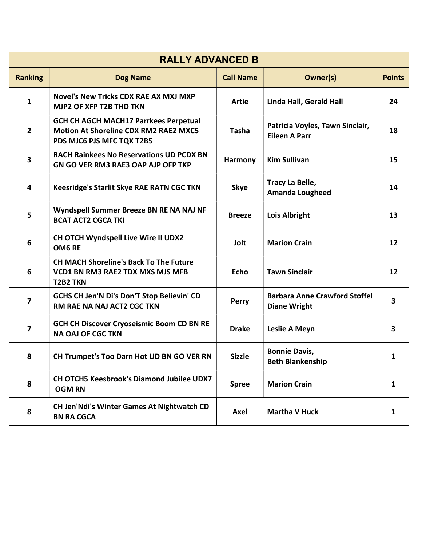| <b>RALLY ADVANCED B</b> |                                                                                                                           |                  |                                                             |                         |
|-------------------------|---------------------------------------------------------------------------------------------------------------------------|------------------|-------------------------------------------------------------|-------------------------|
| <b>Ranking</b>          | <b>Dog Name</b>                                                                                                           | <b>Call Name</b> | <b>Owner(s)</b>                                             | <b>Points</b>           |
| 1                       | <b>Novel's New Tricks CDX RAE AX MXJ MXP</b><br><b>MJP2 OF XFP T2B THD TKN</b>                                            | <b>Artie</b>     | Linda Hall, Gerald Hall                                     | 24                      |
| $\overline{2}$          | <b>GCH CH AGCH MACH17 Parrkees Perpetual</b><br><b>Motion At Shoreline CDX RM2 RAE2 MXC5</b><br>PDS MJC6 PJS MFC TQX T2B5 | <b>Tasha</b>     | Patricia Voyles, Tawn Sinclair,<br><b>Eileen A Parr</b>     | 18                      |
| 3                       | <b>RACH Rainkees No Reservations UD PCDX BN</b><br>GN GO VER RM3 RAE3 OAP AJP OFP TKP                                     | Harmony          | <b>Kim Sullivan</b>                                         | 15                      |
| 4                       | Keesridge's Starlit Skye RAE RATN CGC TKN                                                                                 | <b>Skye</b>      | Tracy La Belle,<br><b>Amanda Lougheed</b>                   | 14                      |
| 5                       | Wyndspell Summer Breeze BN RE NA NAJ NF<br><b>BCAT ACT2 CGCA TKI</b>                                                      | <b>Breeze</b>    | Lois Albright                                               | 13                      |
| 6                       | CH OTCH Wyndspell Live Wire II UDX2<br>OM6 RE                                                                             | Jolt             | <b>Marion Crain</b>                                         | 12                      |
| 6                       | <b>CH MACH Shoreline's Back To The Future</b><br><b>VCD1 BN RM3 RAE2 TDX MXS MJS MFB</b><br><b>T2B2 TKN</b>               | <b>Echo</b>      | <b>Tawn Sinclair</b>                                        | 12                      |
| 7                       | GCHS CH Jen'N Di's Don'T Stop Believin' CD<br>RM RAE NA NAJ ACT2 CGC TKN                                                  | <b>Perry</b>     | <b>Barbara Anne Crawford Stoffel</b><br><b>Diane Wright</b> | $\overline{\mathbf{3}}$ |
| $\overline{\mathbf{z}}$ | <b>GCH CH Discover Cryoseismic Boom CD BN RE</b><br><b>NA OAJ OF CGC TKN</b>                                              | <b>Drake</b>     | Leslie A Meyn                                               | 3                       |
| 8                       | CH Trumpet's Too Darn Hot UD BN GO VER RN                                                                                 | <b>Sizzle</b>    | <b>Bonnie Davis,</b><br><b>Beth Blankenship</b>             | 1                       |
| 8                       | CH OTCH5 Keesbrook's Diamond Jubilee UDX7<br><b>OGM RN</b>                                                                | <b>Spree</b>     | <b>Marion Crain</b>                                         | 1                       |
| 8                       | <b>CH Jen'Ndi's Winter Games At Nightwatch CD</b><br><b>BN RA CGCA</b>                                                    | Axel             | <b>Martha V Huck</b>                                        | 1                       |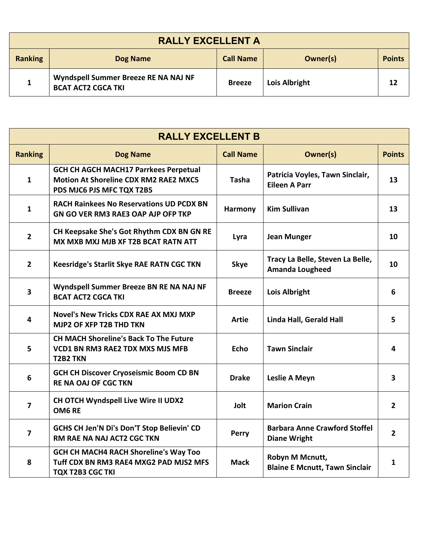| <b>RALLY EXCELLENT A</b>                                          |                                                                   |               |               |    |
|-------------------------------------------------------------------|-------------------------------------------------------------------|---------------|---------------|----|
| <b>Ranking</b><br><b>Call Name</b><br>Owner(s)<br><b>Dog Name</b> |                                                                   |               |               |    |
|                                                                   | Wyndspell Summer Breeze RE NA NAJ NF<br><b>BCAT ACT2 CGCA TKI</b> | <b>Breeze</b> | Lois Albright | 12 |

| <b>RALLY EXCELLENT B</b> |                                                                                                                           |                  |                                                             |                |  |
|--------------------------|---------------------------------------------------------------------------------------------------------------------------|------------------|-------------------------------------------------------------|----------------|--|
| <b>Ranking</b>           | <b>Dog Name</b>                                                                                                           | <b>Call Name</b> | Owner(s)                                                    | <b>Points</b>  |  |
| $\mathbf{1}$             | <b>GCH CH AGCH MACH17 Parrkees Perpetual</b><br><b>Motion At Shoreline CDX RM2 RAE2 MXC5</b><br>PDS MJC6 PJS MFC TQX T2B5 | <b>Tasha</b>     | Patricia Voyles, Tawn Sinclair,<br><b>Eileen A Parr</b>     | 13             |  |
| 1                        | <b>RACH Rainkees No Reservations UD PCDX BN</b><br><b>GN GO VER RM3 RAE3 OAP AJP OFP TKP</b>                              | Harmony          | <b>Kim Sullivan</b>                                         | 13             |  |
| $\overline{2}$           | CH Keepsake She's Got Rhythm CDX BN GN RE<br>MX MXB MXJ MJB XF T2B BCAT RATN ATT                                          | Lyra             | <b>Jean Munger</b>                                          | 10             |  |
| $\overline{2}$           | <b>Keesridge's Starlit Skye RAE RATN CGC TKN</b>                                                                          | <b>Skye</b>      | Tracy La Belle, Steven La Belle,<br><b>Amanda Lougheed</b>  | 10             |  |
| $\overline{\mathbf{3}}$  | Wyndspell Summer Breeze BN RE NA NAJ NF<br><b>BCAT ACT2 CGCA TKI</b>                                                      | <b>Breeze</b>    | Lois Albright                                               | 6              |  |
| 4                        | Novel's New Tricks CDX RAE AX MXJ MXP<br>MJP2 OF XFP T2B THD TKN                                                          | Artie            | Linda Hall, Gerald Hall                                     | 5.             |  |
| 5                        | <b>CH MACH Shoreline's Back To The Future</b><br><b>VCD1 BN RM3 RAE2 TDX MXS MJS MFB</b><br><b>T2B2 TKN</b>               | <b>Echo</b>      | <b>Tawn Sinclair</b>                                        | 4              |  |
| 6                        | <b>GCH CH Discover Cryoseismic Boom CD BN</b><br><b>RE NA OAJ OF CGC TKN</b>                                              | <b>Drake</b>     | Leslie A Meyn                                               | 3              |  |
| 7                        | CH OTCH Wyndspell Live Wire II UDX2<br>OM6 RE                                                                             | Jolt             | <b>Marion Crain</b>                                         | $\mathbf{2}$   |  |
| $\overline{\mathbf{z}}$  | GCHS CH Jen'N Di's Don'T Stop Believin' CD<br><b>RM RAE NA NAJ ACT2 CGC TKN</b>                                           | Perry            | <b>Barbara Anne Crawford Stoffel</b><br><b>Diane Wright</b> | $\overline{2}$ |  |
| 8                        | <b>GCH CH MACH4 RACH Shoreline's Way Too</b><br>Tuff CDX BN RM3 RAE4 MXG2 PAD MJS2 MFS<br><b>TQX T2B3 CGC TKI</b>         | <b>Mack</b>      | Robyn M Mcnutt,<br><b>Blaine E Mcnutt, Tawn Sinclair</b>    | 1              |  |